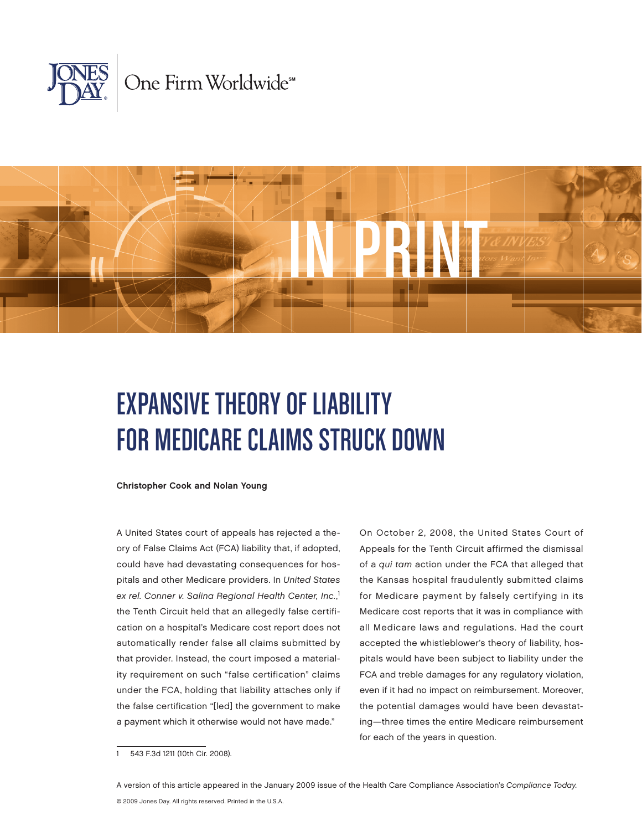



# Expansive Theory of Liability for Medicare Claims Struck Down

Christopher Cook and Nolan Young

A United States court of appeals has rejected a theory of False Claims Act (FCA) liability that, if adopted, could have had devastating consequences for hospitals and other Medicare providers. In United States ex rel. Conner v. Salina Regional Health Center, Inc., 1 the Tenth Circuit held that an allegedly false certification on a hospital's Medicare cost report does not automatically render false all claims submitted by that provider. Instead, the court imposed a materiality requirement on such "false certification" claims under the FCA, holding that liability attaches only if the false certification "[led] the government to make a payment which it otherwise would not have made."

On October 2, 2008, the United States Court of Appeals for the Tenth Circuit affirmed the dismissal of a qui tam action under the FCA that alleged that the Kansas hospital fraudulently submitted claims for Medicare payment by falsely certifying in its Medicare cost reports that it was in compliance with all Medicare laws and regulations. Had the court accepted the whistleblower's theory of liability, hospitals would have been subject to liability under the FCA and treble damages for any regulatory violation, even if it had no impact on reimbursement. Moreover, the potential damages would have been devastating—three times the entire Medicare reimbursement for each of the years in question.

<sup>543</sup> F.3d 1211 (10th Cir. 2008).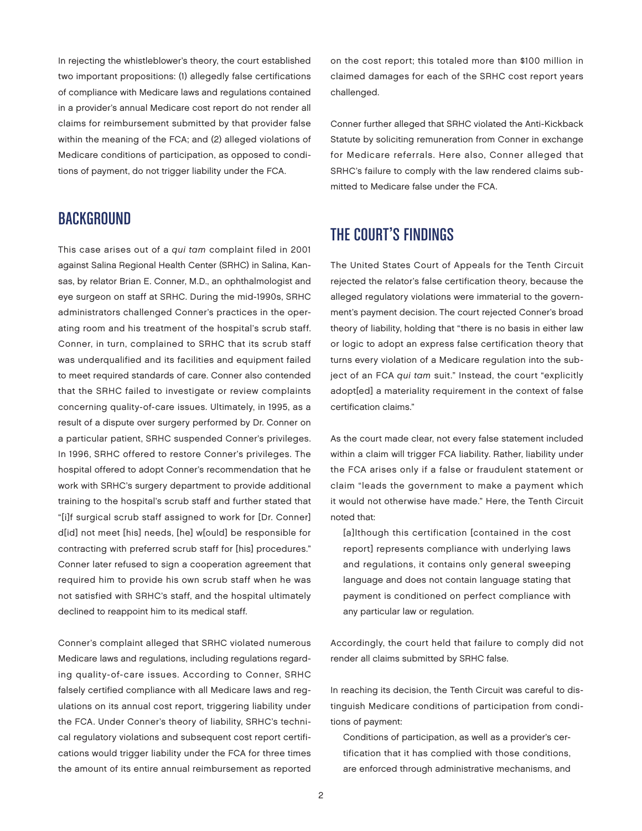In rejecting the whistleblower's theory, the court established two important propositions: (1) allegedly false certifications of compliance with Medicare laws and regulations contained in a provider's annual Medicare cost report do not render all claims for reimbursement submitted by that provider false within the meaning of the FCA; and (2) alleged violations of Medicare conditions of participation, as opposed to conditions of payment, do not trigger liability under the FCA.

## **BACKGROUND**

This case arises out of a qui tam complaint filed in 2001 against Salina Regional Health Center (SRHC) in Salina, Kansas, by relator Brian E. Conner, M.D., an ophthalmologist and eye surgeon on staff at SRHC. During the mid-1990s, SRHC administrators challenged Conner's practices in the operating room and his treatment of the hospital's scrub staff. Conner, in turn, complained to SRHC that its scrub staff was underqualified and its facilities and equipment failed to meet required standards of care. Conner also contended that the SRHC failed to investigate or review complaints concerning quality-of-care issues. Ultimately, in 1995, as a result of a dispute over surgery performed by Dr. Conner on a particular patient, SRHC suspended Conner's privileges. In 1996, SRHC offered to restore Conner's privileges. The hospital offered to adopt Conner's recommendation that he work with SRHC's surgery department to provide additional training to the hospital's scrub staff and further stated that "[i]f surgical scrub staff assigned to work for [Dr. Conner] d[id] not meet [his] needs, [he] w[ould] be responsible for contracting with preferred scrub staff for [his] procedures." Conner later refused to sign a cooperation agreement that required him to provide his own scrub staff when he was not satisfied with SRHC's staff, and the hospital ultimately declined to reappoint him to its medical staff.

Conner's complaint alleged that SRHC violated numerous Medicare laws and regulations, including regulations regarding quality-of-care issues. According to Conner, SRHC falsely certified compliance with all Medicare laws and regulations on its annual cost report, triggering liability under the FCA. Under Conner's theory of liability, SRHC's technical regulatory violations and subsequent cost report certifications would trigger liability under the FCA for three times the amount of its entire annual reimbursement as reported

on the cost report; this totaled more than \$100 million in claimed damages for each of the SRHC cost report years challenged.

Conner further alleged that SRHC violated the Anti-Kickback Statute by soliciting remuneration from Conner in exchange for Medicare referrals. Here also, Conner alleged that SRHC's failure to comply with the law rendered claims submitted to Medicare false under the FCA.

# THE COURT'S FINDINGS

The United States Court of Appeals for the Tenth Circuit rejected the relator's false certification theory, because the alleged regulatory violations were immaterial to the government's payment decision. The court rejected Conner's broad theory of liability, holding that "there is no basis in either law or logic to adopt an express false certification theory that turns every violation of a Medicare regulation into the subject of an FCA qui tam suit." Instead, the court "explicitly adopt[ed] a materiality requirement in the context of false certification claims."

As the court made clear, not every false statement included within a claim will trigger FCA liability. Rather, liability under the FCA arises only if a false or fraudulent statement or claim "leads the government to make a payment which it would not otherwise have made." Here, the Tenth Circuit noted that:

[a]lthough this certification [contained in the cost report] represents compliance with underlying laws and regulations, it contains only general sweeping language and does not contain language stating that payment is conditioned on perfect compliance with any particular law or regulation.

Accordingly, the court held that failure to comply did not render all claims submitted by SRHC false.

In reaching its decision, the Tenth Circuit was careful to distinguish Medicare conditions of participation from conditions of payment:

Conditions of participation, as well as a provider's certification that it has complied with those conditions, are enforced through administrative mechanisms, and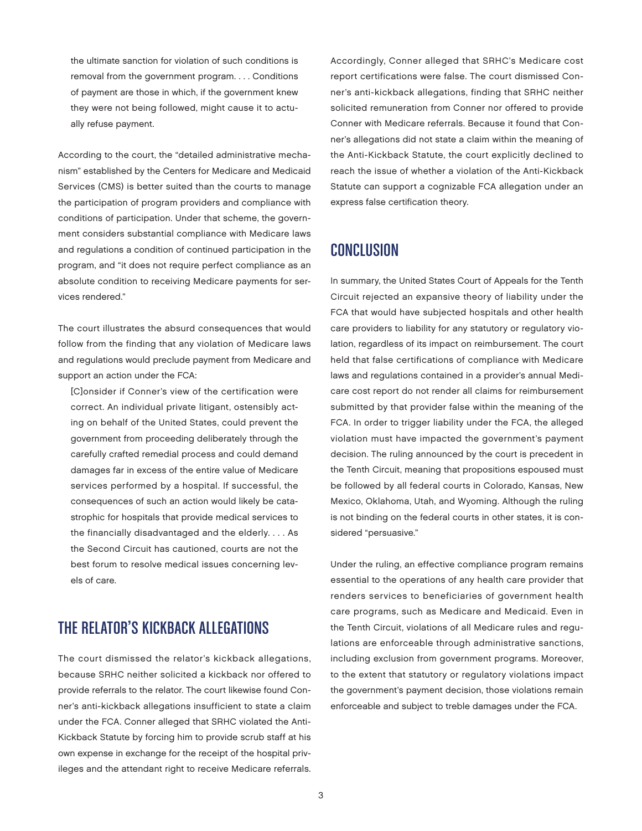the ultimate sanction for violation of such conditions is removal from the government program. . . . Conditions of payment are those in which, if the government knew they were not being followed, might cause it to actually refuse payment.

According to the court, the "detailed administrative mechanism" established by the Centers for Medicare and Medicaid Services (CMS) is better suited than the courts to manage the participation of program providers and compliance with conditions of participation. Under that scheme, the government considers substantial compliance with Medicare laws and regulations a condition of continued participation in the program, and "it does not require perfect compliance as an absolute condition to receiving Medicare payments for services rendered."

The court illustrates the absurd consequences that would follow from the finding that any violation of Medicare laws and regulations would preclude payment from Medicare and support an action under the FCA:

[C]onsider if Conner's view of the certification were correct. An individual private litigant, ostensibly acting on behalf of the United States, could prevent the government from proceeding deliberately through the carefully crafted remedial process and could demand damages far in excess of the entire value of Medicare services performed by a hospital. If successful, the consequences of such an action would likely be catastrophic for hospitals that provide medical services to the financially disadvantaged and the elderly. . . . As the Second Circuit has cautioned, courts are not the best forum to resolve medical issues concerning levels of care.

# The Relator's Kickback Allegations

The court dismissed the relator's kickback allegations, because SRHC neither solicited a kickback nor offered to provide referrals to the relator. The court likewise found Conner's anti-kickback allegations insufficient to state a claim under the FCA. Conner alleged that SRHC violated the Anti-Kickback Statute by forcing him to provide scrub staff at his own expense in exchange for the receipt of the hospital privileges and the attendant right to receive Medicare referrals.

Accordingly, Conner alleged that SRHC's Medicare cost report certifications were false. The court dismissed Conner's anti-kickback allegations, finding that SRHC neither solicited remuneration from Conner nor offered to provide Conner with Medicare referrals. Because it found that Conner's allegations did not state a claim within the meaning of the Anti-Kickback Statute, the court explicitly declined to reach the issue of whether a violation of the Anti-Kickback Statute can support a cognizable FCA allegation under an express false certification theory.

### **CONCLUSION**

In summary, the United States Court of Appeals for the Tenth Circuit rejected an expansive theory of liability under the FCA that would have subjected hospitals and other health care providers to liability for any statutory or regulatory violation, regardless of its impact on reimbursement. The court held that false certifications of compliance with Medicare laws and regulations contained in a provider's annual Medicare cost report do not render all claims for reimbursement submitted by that provider false within the meaning of the FCA. In order to trigger liability under the FCA, the alleged violation must have impacted the government's payment decision. The ruling announced by the court is precedent in the Tenth Circuit, meaning that propositions espoused must be followed by all federal courts in Colorado, Kansas, New Mexico, Oklahoma, Utah, and Wyoming. Although the ruling is not binding on the federal courts in other states, it is considered "persuasive."

Under the ruling, an effective compliance program remains essential to the operations of any health care provider that renders services to beneficiaries of government health care programs, such as Medicare and Medicaid. Even in the Tenth Circuit, violations of all Medicare rules and regulations are enforceable through administrative sanctions, including exclusion from government programs. Moreover, to the extent that statutory or regulatory violations impact the government's payment decision, those violations remain enforceable and subject to treble damages under the FCA.